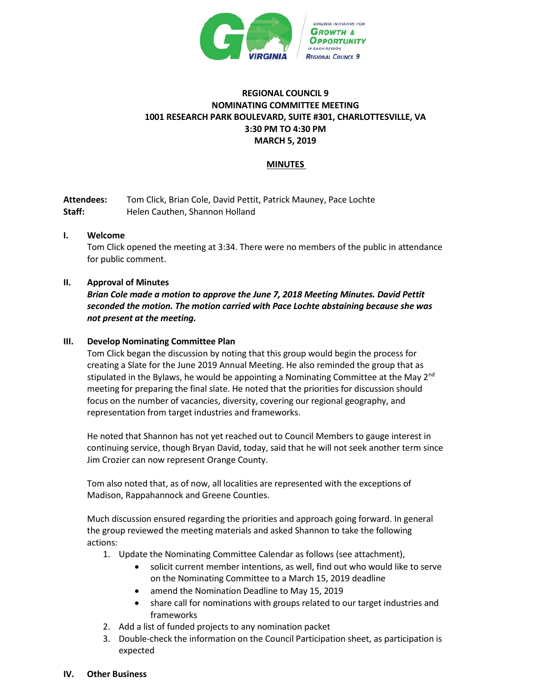

## **REGIONAL COUNCIL 9 NOMINATING COMMITTEE MEETING 1001 RESEARCH PARK BOULEVARD, SUITE #301, CHARLOTTESVILLE, VA 3:30 PM TO 4:30 PM MARCH 5, 2019**

## **MINUTES**

**Attendees:** Tom Click, Brian Cole, David Pettit, Patrick Mauney, Pace Lochte **Staff:** Helen Cauthen, Shannon Holland

### **I. Welcome**

Tom Click opened the meeting at 3:34. There were no members of the public in attendance for public comment.

## **II. Approval of Minutes**

*Brian Cole made a motion to approve the June 7, 2018 Meeting Minutes. David Pettit seconded the motion. The motion carried with Pace Lochte abstaining because she was not present at the meeting.* 

### **III. Develop Nominating Committee Plan**

Tom Click began the discussion by noting that this group would begin the process for creating a Slate for the June 2019 Annual Meeting. He also reminded the group that as stipulated in the Bylaws, he would be appointing a Nominating Committee at the May  $2^{nd}$ meeting for preparing the final slate. He noted that the priorities for discussion should focus on the number of vacancies, diversity, covering our regional geography, and representation from target industries and frameworks.

He noted that Shannon has not yet reached out to Council Members to gauge interest in continuing service, though Bryan David, today, said that he will not seek another term since Jim Crozier can now represent Orange County.

Tom also noted that, as of now, all localities are represented with the exceptions of Madison, Rappahannock and Greene Counties.

Much discussion ensured regarding the priorities and approach going forward. In general the group reviewed the meeting materials and asked Shannon to take the following actions:

- 1. Update the Nominating Committee Calendar as follows (see attachment),
	- solicit current member intentions, as well, find out who would like to serve on the Nominating Committee to a March 15, 2019 deadline
	- amend the Nomination Deadline to May 15, 2019
	- share call for nominations with groups related to our target industries and frameworks
- 2. Add a list of funded projects to any nomination packet
- 3. Double-check the information on the Council Participation sheet, as participation is expected

#### **IV. Other Business**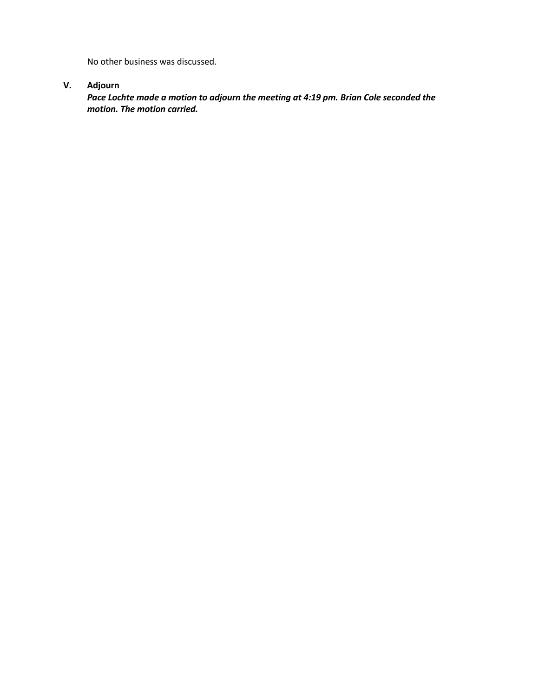No other business was discussed.

# **V. Adjourn**

*Pace Lochte made a motion to adjourn the meeting at 4:19 pm. Brian Cole seconded the motion. The motion carried.*